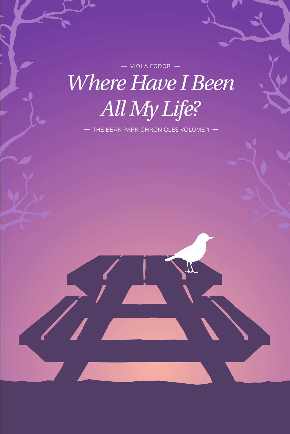$-$  VIOLA FODOR  $-$ **Where Have I Been** All My Life?

- THE BEAN PARK CHRONICLES VOLUME 1 -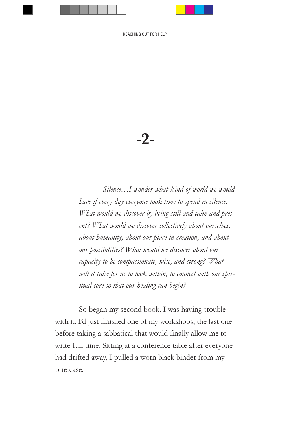-**2**-

 *Silence…I wonder what kind of world we would have if every day everyone took time to spend in silence. What would we discover by being still and calm and present? What would we discover collectively about ourselves, about humanity, about our place in creation, and about our possibilities? What would we discover about our capacity to be compassionate, wise, and strong? What will it take for us to look within, to connect with our spiritual core so that our healing can begin?*

So began my second book. I was having trouble with it. I'd just finished one of my workshops, the last one before taking a sabbatical that would finally allow me to write full time. Sitting at a conference table after everyone had drifted away, I pulled a worn black binder from my briefcase.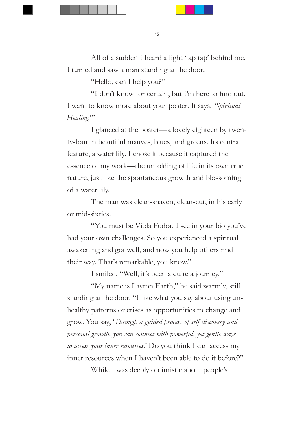All of a sudden I heard a light 'tap tap' behind me. I turned and saw a man standing at the door.

"Hello, can I help you?"

"I don't know for certain, but I'm here to find out. I want to know more about your poster. It says, *'Spiritual*  Healing."

I glanced at the poster—a lovely eighteen by twenty-four in beautiful mauves, blues, and greens. Its central feature, a water lily. I chose it because it captured the essence of my work—the unfolding of life in its own true nature, just like the spontaneous growth and blossoming of a water lily.

The man was clean-shaven, clean-cut, in his early or mid-sixties.

"You must be Viola Fodor. I see in your bio you've had your own challenges. So you experienced a spiritual awakening and got well, and now you help others find their way. That's remarkable, you know."

I smiled. "Well, it's been a quite a journey."

"My name is Layton Earth," he said warmly, still standing at the door. "I like what you say about using unhealthy patterns or crises as opportunities to change and grow. You say, '*Through a guided process of self discovery and personal growth, you can connect with powerful, yet gentle ways to access your inner resources.*' Do you think I can access my inner resources when I haven't been able to do it before?"

While I was deeply optimistic about people's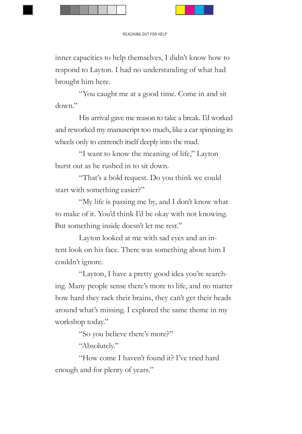inner capacities to help themselves, I didn't know how to respond to Layton. I had no understanding of what had brought him here.

"You caught me at a good time. Come in and sit down."

His arrival gave me reason to take a break. I'd worked and reworked my manuscript too much, like a car spinning its wheels only to entrench itself deeply into the mud.

"I want to know the meaning of life," Layton burst out as he rushed in to sit down.

"That's a bold request. Do you think we could start with something easier?"

"My life is passing me by, and I don't know what to make of it. You'd think I'd be okay with not knowing. But something inside doesn't let me rest."

Layton looked at me with sad eyes and an intent look on his face. There was something about him I couldn't ignore.

"Layton, I have a pretty good idea you're searching. Many people sense there's more to life, and no matter how hard they rack their brains, they can't get their heads around what's missing. I explored the same theme in my workshop today."

"So you believe there's more?"

"Absolutely."

"How come I haven't found it? I've tried hard enough and for plenty of years."